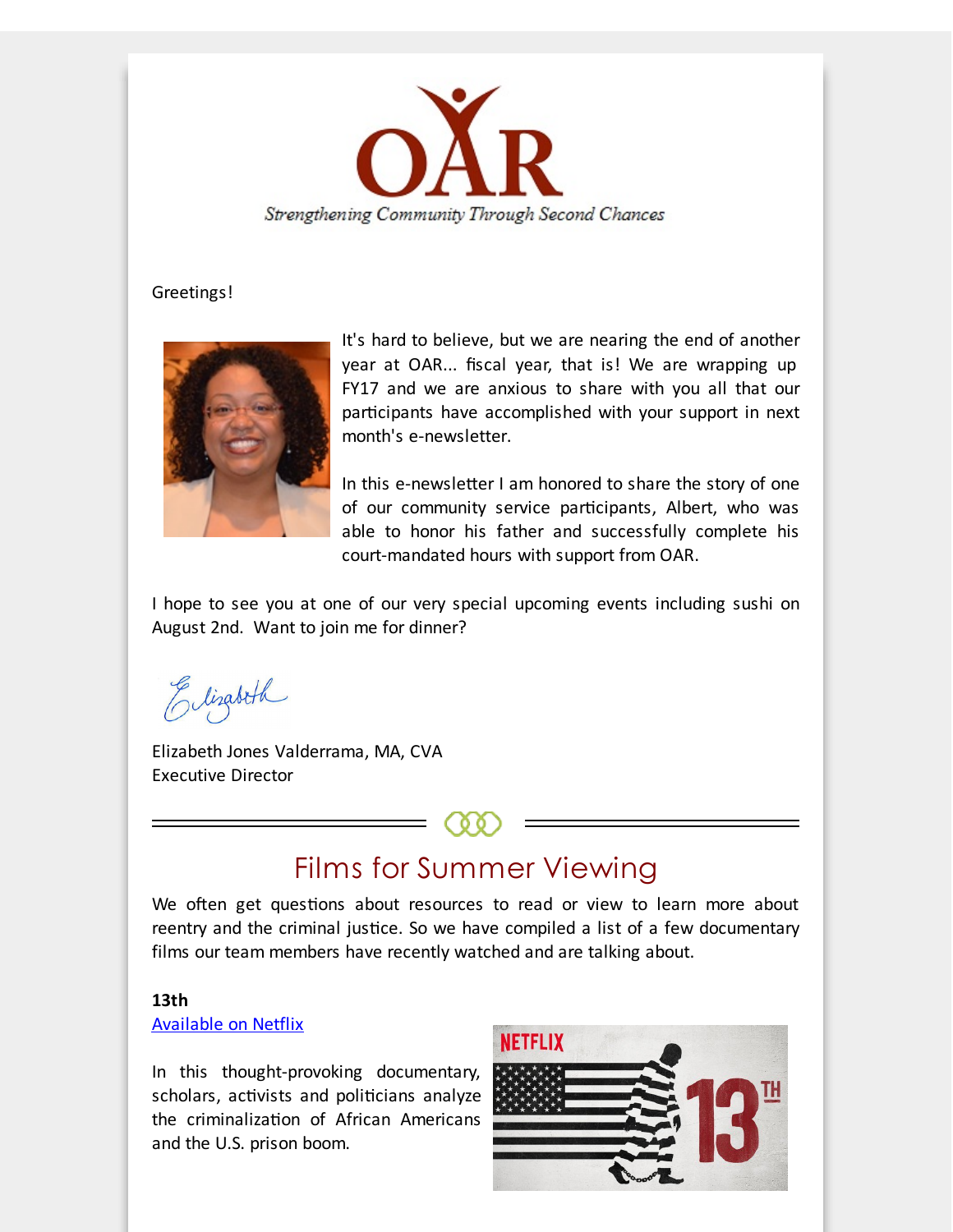

#### Greetings!



It's hard to believe, but we are nearing the end of another year at OAR... fiscal year, that is! We are wrapping up FY17 and we are anxious to share with you all that our participants have accomplished with your support in next month's e-newsletter.

In this e-newsletter I am honored to share the story of one of our community service participants, Albert, who was able to honor his father and successfully complete his court-mandated hours with support from OAR.

I hope to see you at one of our very special upcoming events including sushi on August 2nd. Want to join me for dinner?

Elizabeth

Elizabeth Jones Valderrama, MA, CVA Executive Director

## Films for Summer Viewing

We often get questions about resources to read or view to learn more about reentry and the criminal justice. So we have compiled a list of a few documentary films our team members have recently watched and are talking about.

#### **13th**

#### [Available](http://r20.rs6.net/tn.jsp?f=001cU0YcFJsc9JHBXpQQxpT9RRKEDMizPusoZV3tIT2OBlIht_5iICfWRl09BikADLZLpaoMTKAJWVnOyLdwY_4gjzEplu_p4eXD2EdzkxEsougFk7-lA5tNV4-QdOEURZucklFE4waLpdenQTfN1ptB8sOYy3hNTRqBeKdppbhDje3ER5rcLP_y7y9aArDcYqNyAarQnf0LMy5zffSR9o_iZtNLJSPIDw2SToJDaFMlMU079mVpq6OFt8ANTiwROL7n19Z-hLeHt_AV3cJZk2bqDhmFQClBKNBuFdg0IELcTYATW_9hmUdDvuP_fBTYWxSTD1JJ0frL2xQe6GSm-EEZQ==&c=&ch=) on Netflix

In this thought-provoking documentary, scholars, activists and politicians analyze the criminalization of African Americans and the U.S. prison boom.

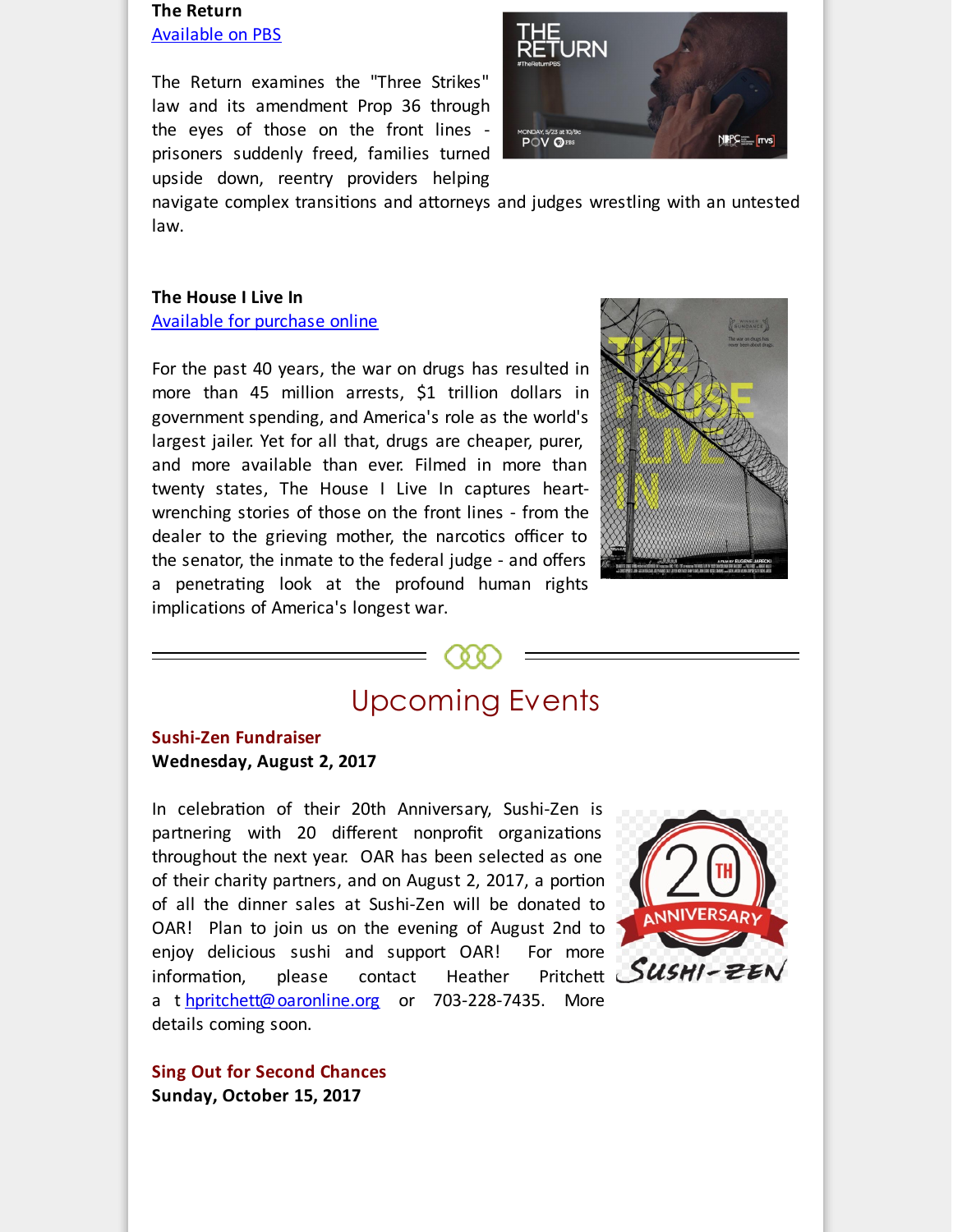#### **The Return** [Available](http://r20.rs6.net/tn.jsp?f=001cU0YcFJsc9JHBXpQQxpT9RRKEDMizPusoZV3tIT2OBlIht_5iICfWRl09BikADLZoo_iODqeu3FlOP2AgZ5CZXhqN6vo9bd2Hym6EAtdBR4v3cQfhUFwuqP9CKLuhvvy9MX-nZutdyWZTrFjREHN0_VqrbYg_xY0f0uaLzKiqRRoonPb8AFm26a03SJZSYTcOD01Y5X0YKXVlUIlfrea0f9ru7ARnjKnLrz32jywKTlhXyESWinJSVkXWbUkD6vYIj4u9qIPsv2Q4RQU57Hyk78VzpeXqGjY0k9kfum9vBDD6SsUfH0PfLbwRz7QCqaj1MxLKwC_FuM=&c=&ch=) on PBS

The Return examines the "Three Strikes" law and its amendment Prop 36 through the eyes of those on the front lines prisoners suddenly freed, families turned upside down, reentry providers helping



navigate complex transitions and attorneys and judges wrestling with an untested law.

### **The House I Live In** [Available](http://r20.rs6.net/tn.jsp?f=001cU0YcFJsc9JHBXpQQxpT9RRKEDMizPusoZV3tIT2OBlIht_5iICfWRl09BikADLZhNfE1zmEAmwYnY2g4tmNQXu0QFLLNbCq2IhEErdCCM4420OJVhdNyHMmWwgiBhQRfkxqjDexrZziFblNB-Ej7b1NL1BlRmbURG-bSpEDJQ1EeCav22LQ4N1B0W-s254oxdhdutGu-tbzOJpWa5o33ELrdIMc50jT9g4UztG0nEsJ67agXLOkbWV8hizV1l2YVwEr6YmRtfRoRP_khe5NICjVH-XnMZZSyltxHLGr3O4iTLx4LhGtoo32zqMeKVDA&c=&ch=) for purchase online

For the past 40 years, the war on drugs has resulted in more than 45 million arrests, \$1 trillion dollars in government spending, and America's role as the world's largest jailer. Yet for all that, drugs are cheaper, purer, and more available than ever. Filmed in more than twenty states, The House I Live In captures heartwrenching stories of those on the front lines - from the dealer to the grieving mother, the narcotics officer to the senator, the inmate to the federal judge - and offers a penetrating look at the profound human rights implications of America's longest war.



# Upcoming Events

**Sushi-Zen Fundraiser Wednesday, August 2, 2017**

In celebration of their 20th Anniversary, Sushi-Zen is partnering with 20 different nonprofit organizations throughout the next year. OAR has been selected as one of their charity partners, and on August 2, 2017, a portion of all the dinner sales at Sushi-Zen will be donated to OAR! Plan to join us on the evening of August 2nd to enjoy delicious sushi and support OAR! For more<br>information, please contact Heather Pritchett SUSHI-ZEI information, please contact Heather a t [hpritchett@oaronline.org](mailto:hpritchett@oaronline.org) or 703-228-7435. More details coming soon.



**Sing Out for Second Chances Sunday, October 15, 2017**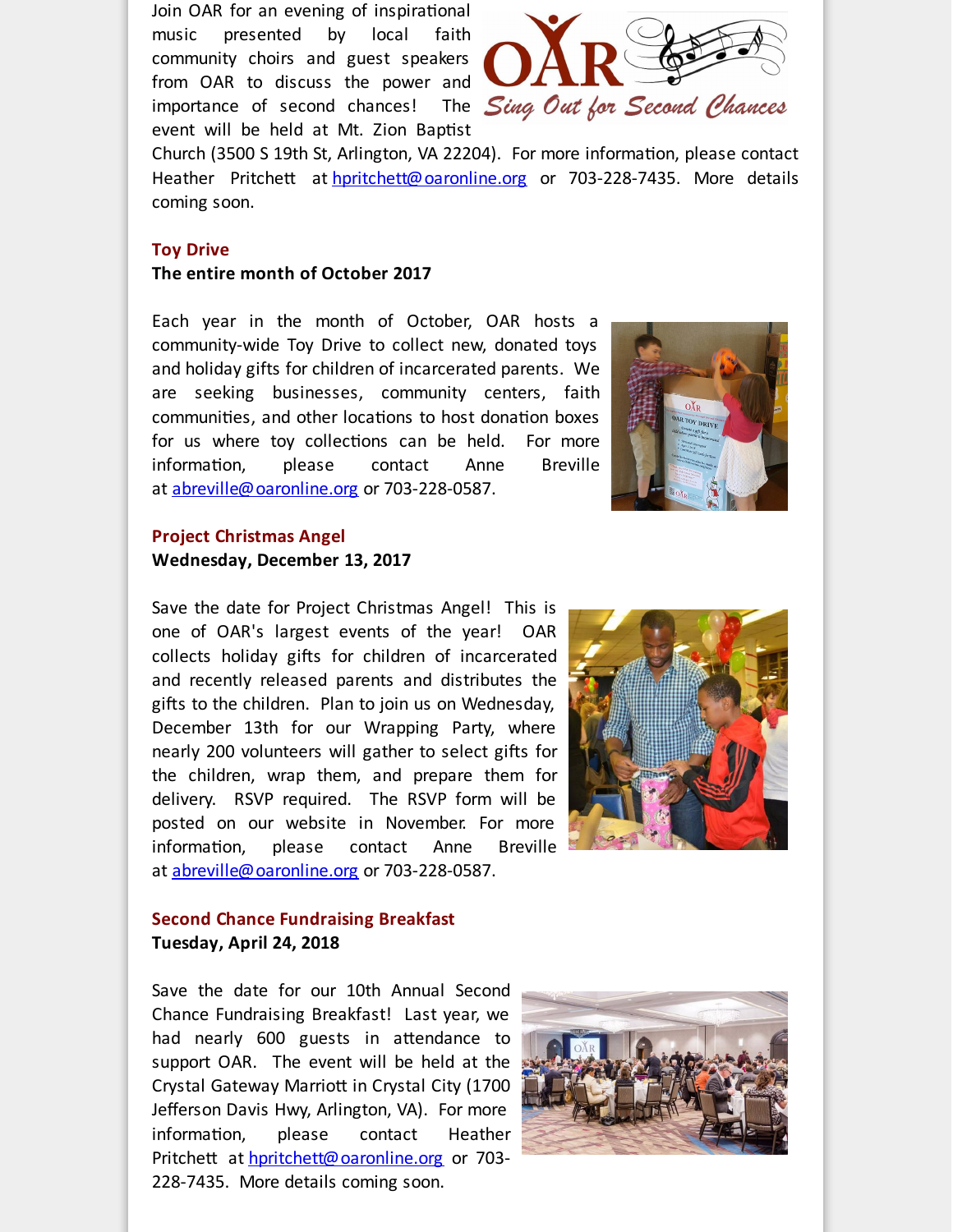Join OAR for an evening of inspirational music presented by local faith community choirs and guest speakers from OAR to discuss the power and event will be held at Mt. Zion Baptist



Church (3500 S 19th St, Arlington, VA 22204). For more information, please contact Heather Pritchett at [hpritchett@oaronline.org](mailto:hpritchett@oaronline.org) or 703-228-7435. More details coming soon.

#### **Toy Drive**

**The entire month of October 2017**

Each year in the month of October, OAR hosts a community-wide Toy Drive to collect new, donated toys and holiday gifts for children of incarcerated parents. We are seeking businesses, community centers, faith communities, and other locations to host donation boxes for us where toy collections can be held. For more information, please contact Anne Breville at [abreville@oaronline.org](mailto:abreville@oaronline.org) or 703-228-0587.



### **Project Christmas Angel Wednesday, December 13, 2017**

Save the date for Project Christmas Angel! This is one of OAR's largest events of the year! OAR collects holiday gifts for children of incarcerated and recently released parents and distributes the gifts to the children. Plan to join us on Wednesday, December 13th for our Wrapping Party, where nearly 200 volunteers will gather to select gifts for the children, wrap them, and prepare them for delivery. RSVP required. The RSVP form will be posted on our website in November. For more information, please contact Anne Breville at [abreville@oaronline.org](mailto:abreville@oaronline.org) or 703-228-0587.



#### **Second Chance Fundraising Breakfast Tuesday, April 24, 2018**

Save the date for our 10th Annual Second Chance Fundraising Breakfast! Last year, we had nearly 600 guests in attendance to support OAR. The event will be held at the Crystal Gateway Marriott in Crystal City (1700 Jefferson Davis Hwy, Arlington, VA). For more information, please contact Heather Pritchett at [hpritchett@oaronline.org](mailto:hpritchett@oaronline.org) or 703-228-7435. More details coming soon.

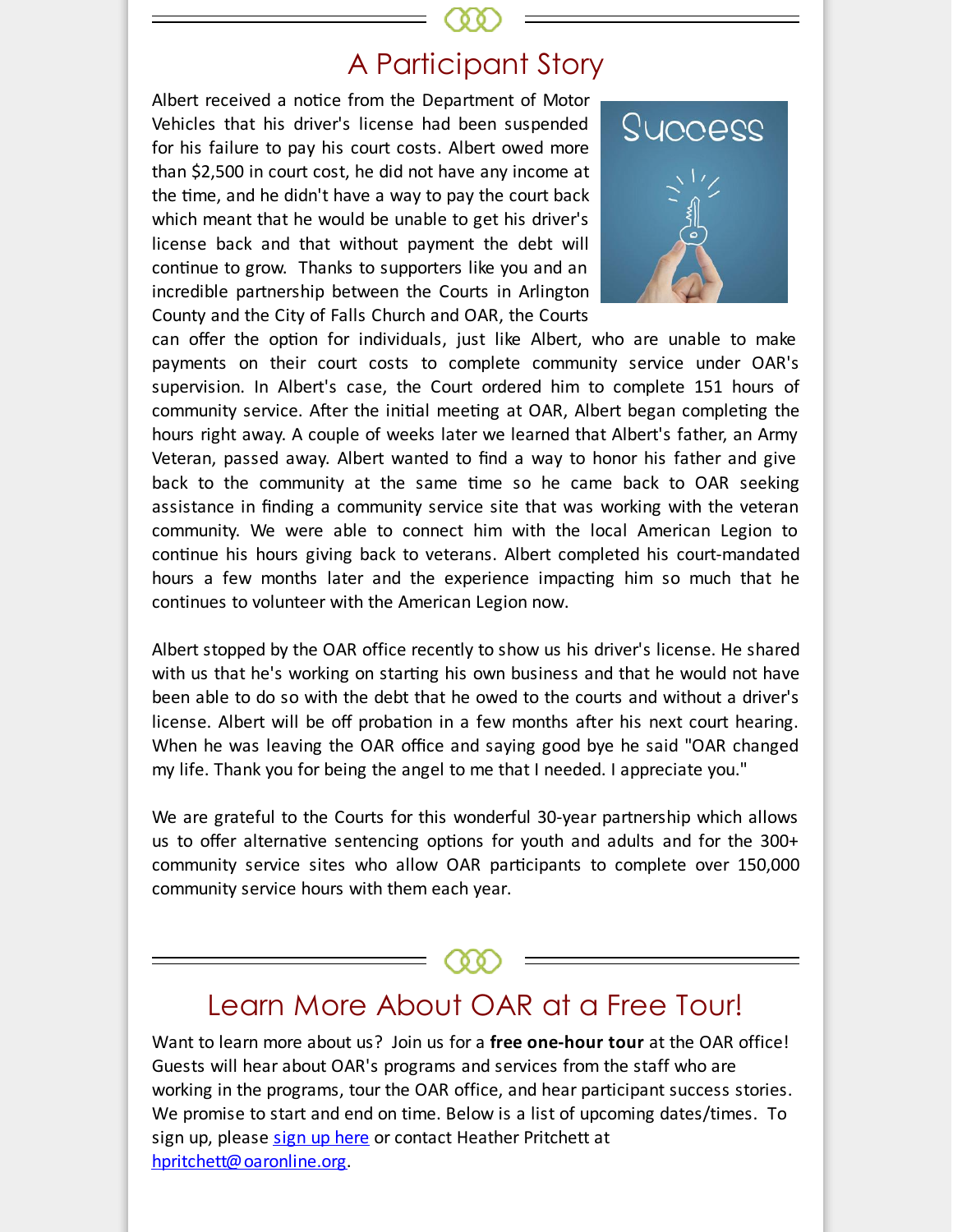### A Participant Story

Albert received a notice from the Department of Motor Vehicles that his driver's license had been suspended for his failure to pay his court costs. Albert owed more than \$2,500 in court cost, he did not have any income at the time, and he didn't have a way to pay the court back which meant that he would be unable to get his driver's license back and that without payment the debt will continue to grow. Thanks to supporters like you and an incredible partnership between the Courts in Arlington County and the City of Falls Church and OAR, the Courts



can offer the option for individuals, just like Albert, who are unable to make payments on their court costs to complete community service under OAR's supervision. In Albert's case, the Court ordered him to complete 151 hours of community service. After the initial meeting at OAR, Albert began completing the hours right away. A couple of weeks later we learned that Albert's father, an Army Veteran, passed away. Albert wanted to find a way to honor his father and give back to the community at the same time so he came back to OAR seeking assistance in finding a community service site that was working with the veteran community. We were able to connect him with the local American Legion to continue his hours giving back to veterans. Albert completed his court-mandated hours a few months later and the experience impacting him so much that he continues to volunteer with the American Legion now.

Albert stopped by the OAR office recently to show us his driver's license. He shared with us that he's working on starting his own business and that he would not have been able to do so with the debt that he owed to the courts and without a driver's license. Albert will be off probation in a few months after his next court hearing. When he was leaving the OAR office and saying good bye he said "OAR changed my life. Thank you for being the angel to me that I needed. I appreciate you."

We are grateful to the Courts for this wonderful 30-year partnership which allows us to offer alternative sentencing options for youth and adults and for the  $300+$ community service sites who allow OAR participants to complete over 150,000 community service hours with them each year.

### Learn More About OAR at a Free Tour!

Want to learn more about us? Join us for a **free one-hour tour** at the OAR office! Guests will hear about OAR's programs and services from the staff who are working in the programs, tour the OAR office, and hear participant success stories. We promise to start and end on time. Below is a list of upcoming dates/times. To sign up, please sign up [here](http://r20.rs6.net/tn.jsp?f=001cU0YcFJsc9JHBXpQQxpT9RRKEDMizPusoZV3tIT2OBlIht_5iICfWYnrIAaLw-ucQ1T82JFygOaCy_BGPzf5RVCnsEaE-5rAHEO97Br0C4i8HR6RukgGhZeWxCb7NvEv7kFPnuUmhzrOT6Vi6LQQnPB5RCD-UzswuPMDciWNquLtqZvDSpbHo0qzVJ9o-IXZWvN42mO5CsodIaJQ8JQKYTu6CijcWSot74TEiDYYjD6HWyPoowVToQf2HnpoyBnsAOEBvzPEeUdTaYDsUV_muGBdz57NBgkX5GTAUwn5qnhUlw9lKaneSkjQpB9m0itllpI_z64d25Ln-igybfza5FmhciJRbLRIjmDF5OIl2mc=&c=&ch=) or contact Heather Pritchett at [hpritchett@oaronline.org](mailto:hpritchett@oaronline.org).